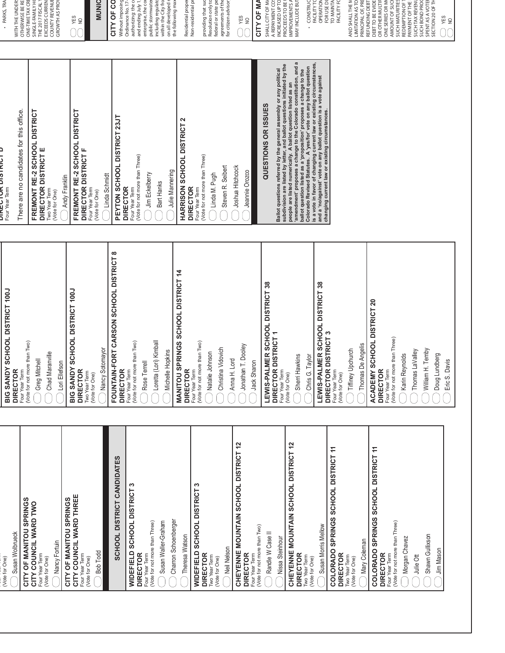| Four Year Term<br>(Vote for not more than Two)<br>(Vote for not more than Two)<br>Loretta (Lori) Kimball<br>(Vote for not more than Two)<br>Jonathan T. Dooley<br>Nancy Sotomayor<br>Christina Vidovich<br>Michelle Hopkins<br>Chad Maranville<br>Natalie Johnson<br>Greg Mitchell<br>Anna H. Lord<br>Jack Sharon<br>Lori Ellefson<br>Rose Terrell<br><b>DIRECTOR</b><br><b>DIRECTOR</b><br><b>DIRECTOR</b><br><b>DIRECTOR</b><br>Four Year Term<br>Four Year Term<br>Two Year Term<br>(Vote for One) | FOUNTAIN-FORT CARSON SCHOOL DISTRICT 8<br>MANITOU SPRINGS SCHOOL DISTRICT 14<br>BIG SANDY SCHOOL DISTRICT 100J | There are no candidates for this office.<br>FREMONT RE-2 SCHOOL DISTRICT<br>FREMONT RE-2 SCHOOL DISTRICT<br>PEYTON SCHOOL DISTRICT 23JT<br>HARRISON SCHOOL DISTRICT 2<br>DIRECTOR DISTRICT E<br>DIRECTOR DISTRICT F<br>(Vote for not more than Three)<br>(Vote for not more than Three)<br>Steven R. Seibert<br>Julie Mannering<br>Jim Eckelberry<br>Linda M. Pugh<br>Linda Schmidt<br>Andy Franklin<br>Bart Hanks<br><b>DIRECTOR</b><br>Four Year Term<br><b>DIRECTOR</b><br>Four Year Term<br>Four Year Term<br>Two Year Term<br>(Vote for One)<br>(Vote for One) | SINGLE-FAMILY HO<br>providing that suc<br>WITH THE UNDERS<br>OTHERWISE BE RE<br>EXCEEDS CURREN<br>DINUNIO<br>CITY OF CO<br>authorizing: the co<br>including regulato<br>within the City fro<br>Non-residential pr<br>Resolution only to<br>federal or state pe<br>agreements of the<br>ONE-TIME TAX CRI<br>COUNTY REVENUI<br>GROWTH AS PROY<br>Without imposing<br>and ending July 1<br>enterprise, the co<br>public stormwate<br>the following max<br>Residential prope<br>THE 2017 FISCAL<br>Ordinance No. 17<br>on all developed<br>YES<br>$\frac{1}{2}$ |
|-------------------------------------------------------------------------------------------------------------------------------------------------------------------------------------------------------------------------------------------------------------------------------------------------------------------------------------------------------------------------------------------------------------------------------------------------------------------------------------------------------|----------------------------------------------------------------------------------------------------------------|---------------------------------------------------------------------------------------------------------------------------------------------------------------------------------------------------------------------------------------------------------------------------------------------------------------------------------------------------------------------------------------------------------------------------------------------------------------------------------------------------------------------------------------------------------------------|-------------------------------------------------------------------------------------------------------------------------------------------------------------------------------------------------------------------------------------------------------------------------------------------------------------------------------------------------------------------------------------------------------------------------------------------------------------------------------------------------------------------------------------------------------------|
|                                                                                                                                                                                                                                                                                                                                                                                                                                                                                                       |                                                                                                                |                                                                                                                                                                                                                                                                                                                                                                                                                                                                                                                                                                     |                                                                                                                                                                                                                                                                                                                                                                                                                                                                                                                                                             |
|                                                                                                                                                                                                                                                                                                                                                                                                                                                                                                       |                                                                                                                |                                                                                                                                                                                                                                                                                                                                                                                                                                                                                                                                                                     |                                                                                                                                                                                                                                                                                                                                                                                                                                                                                                                                                             |
|                                                                                                                                                                                                                                                                                                                                                                                                                                                                                                       |                                                                                                                |                                                                                                                                                                                                                                                                                                                                                                                                                                                                                                                                                                     |                                                                                                                                                                                                                                                                                                                                                                                                                                                                                                                                                             |
|                                                                                                                                                                                                                                                                                                                                                                                                                                                                                                       |                                                                                                                |                                                                                                                                                                                                                                                                                                                                                                                                                                                                                                                                                                     |                                                                                                                                                                                                                                                                                                                                                                                                                                                                                                                                                             |
|                                                                                                                                                                                                                                                                                                                                                                                                                                                                                                       |                                                                                                                |                                                                                                                                                                                                                                                                                                                                                                                                                                                                                                                                                                     |                                                                                                                                                                                                                                                                                                                                                                                                                                                                                                                                                             |
|                                                                                                                                                                                                                                                                                                                                                                                                                                                                                                       |                                                                                                                |                                                                                                                                                                                                                                                                                                                                                                                                                                                                                                                                                                     |                                                                                                                                                                                                                                                                                                                                                                                                                                                                                                                                                             |
|                                                                                                                                                                                                                                                                                                                                                                                                                                                                                                       |                                                                                                                |                                                                                                                                                                                                                                                                                                                                                                                                                                                                                                                                                                     |                                                                                                                                                                                                                                                                                                                                                                                                                                                                                                                                                             |
|                                                                                                                                                                                                                                                                                                                                                                                                                                                                                                       |                                                                                                                |                                                                                                                                                                                                                                                                                                                                                                                                                                                                                                                                                                     |                                                                                                                                                                                                                                                                                                                                                                                                                                                                                                                                                             |
| DISTRICT 12<br><b>JIDATES</b>                                                                                                                                                                                                                                                                                                                                                                                                                                                                         |                                                                                                                |                                                                                                                                                                                                                                                                                                                                                                                                                                                                                                                                                                     |                                                                                                                                                                                                                                                                                                                                                                                                                                                                                                                                                             |
|                                                                                                                                                                                                                                                                                                                                                                                                                                                                                                       |                                                                                                                |                                                                                                                                                                                                                                                                                                                                                                                                                                                                                                                                                                     |                                                                                                                                                                                                                                                                                                                                                                                                                                                                                                                                                             |
|                                                                                                                                                                                                                                                                                                                                                                                                                                                                                                       |                                                                                                                |                                                                                                                                                                                                                                                                                                                                                                                                                                                                                                                                                                     |                                                                                                                                                                                                                                                                                                                                                                                                                                                                                                                                                             |
|                                                                                                                                                                                                                                                                                                                                                                                                                                                                                                       |                                                                                                                |                                                                                                                                                                                                                                                                                                                                                                                                                                                                                                                                                                     |                                                                                                                                                                                                                                                                                                                                                                                                                                                                                                                                                             |
|                                                                                                                                                                                                                                                                                                                                                                                                                                                                                                       |                                                                                                                |                                                                                                                                                                                                                                                                                                                                                                                                                                                                                                                                                                     |                                                                                                                                                                                                                                                                                                                                                                                                                                                                                                                                                             |
|                                                                                                                                                                                                                                                                                                                                                                                                                                                                                                       |                                                                                                                |                                                                                                                                                                                                                                                                                                                                                                                                                                                                                                                                                                     |                                                                                                                                                                                                                                                                                                                                                                                                                                                                                                                                                             |
|                                                                                                                                                                                                                                                                                                                                                                                                                                                                                                       |                                                                                                                |                                                                                                                                                                                                                                                                                                                                                                                                                                                                                                                                                                     |                                                                                                                                                                                                                                                                                                                                                                                                                                                                                                                                                             |
|                                                                                                                                                                                                                                                                                                                                                                                                                                                                                                       |                                                                                                                |                                                                                                                                                                                                                                                                                                                                                                                                                                                                                                                                                                     |                                                                                                                                                                                                                                                                                                                                                                                                                                                                                                                                                             |
|                                                                                                                                                                                                                                                                                                                                                                                                                                                                                                       |                                                                                                                |                                                                                                                                                                                                                                                                                                                                                                                                                                                                                                                                                                     |                                                                                                                                                                                                                                                                                                                                                                                                                                                                                                                                                             |
|                                                                                                                                                                                                                                                                                                                                                                                                                                                                                                       |                                                                                                                |                                                                                                                                                                                                                                                                                                                                                                                                                                                                                                                                                                     |                                                                                                                                                                                                                                                                                                                                                                                                                                                                                                                                                             |
|                                                                                                                                                                                                                                                                                                                                                                                                                                                                                                       |                                                                                                                |                                                                                                                                                                                                                                                                                                                                                                                                                                                                                                                                                                     |                                                                                                                                                                                                                                                                                                                                                                                                                                                                                                                                                             |
|                                                                                                                                                                                                                                                                                                                                                                                                                                                                                                       |                                                                                                                |                                                                                                                                                                                                                                                                                                                                                                                                                                                                                                                                                                     | for citizen advisor                                                                                                                                                                                                                                                                                                                                                                                                                                                                                                                                         |
|                                                                                                                                                                                                                                                                                                                                                                                                                                                                                                       |                                                                                                                | Joshua Hitchcock                                                                                                                                                                                                                                                                                                                                                                                                                                                                                                                                                    | YES                                                                                                                                                                                                                                                                                                                                                                                                                                                                                                                                                         |
|                                                                                                                                                                                                                                                                                                                                                                                                                                                                                                       |                                                                                                                | Jeannie Orozco                                                                                                                                                                                                                                                                                                                                                                                                                                                                                                                                                      | $\frac{1}{2}$                                                                                                                                                                                                                                                                                                                                                                                                                                                                                                                                               |
|                                                                                                                                                                                                                                                                                                                                                                                                                                                                                                       |                                                                                                                |                                                                                                                                                                                                                                                                                                                                                                                                                                                                                                                                                                     | CITY OF MA                                                                                                                                                                                                                                                                                                                                                                                                                                                                                                                                                  |
|                                                                                                                                                                                                                                                                                                                                                                                                                                                                                                       | LEWIS-PALMER SCHOOL DISTRICT 38                                                                                | QUESTIONS OR ISSUES                                                                                                                                                                                                                                                                                                                                                                                                                                                                                                                                                 | SHALL CITY OF M                                                                                                                                                                                                                                                                                                                                                                                                                                                                                                                                             |
| DIRECTOR DISTRICT 1<br>Four Year Term                                                                                                                                                                                                                                                                                                                                                                                                                                                                 |                                                                                                                | Ballot questions referred by the general assembly or any political                                                                                                                                                                                                                                                                                                                                                                                                                                                                                                  | INCREASED UP TO<br>A REPAYMENT CO                                                                                                                                                                                                                                                                                                                                                                                                                                                                                                                           |
| (Vote for One)<br>DISTRICT 12                                                                                                                                                                                                                                                                                                                                                                                                                                                                         |                                                                                                                | subdivision are listed by letter, and ballot questions initiated by the<br>people are listed numerically. A ballot question listed as an                                                                                                                                                                                                                                                                                                                                                                                                                            | PROCEEDS TO BE                                                                                                                                                                                                                                                                                                                                                                                                                                                                                                                                              |
| Sherri Hawkins                                                                                                                                                                                                                                                                                                                                                                                                                                                                                        |                                                                                                                | 'amendment' proposes a change to the Colorado constitution, and a<br>ballot question listed as a 'proposition' proposes a change to the                                                                                                                                                                                                                                                                                                                                                                                                                             | IMPROVEMENTS A<br>MAY INCLUDE BUT                                                                                                                                                                                                                                                                                                                                                                                                                                                                                                                           |
| Chris G. Taylor                                                                                                                                                                                                                                                                                                                                                                                                                                                                                       |                                                                                                                | is a vote in favor of changing current law or existing circumstances<br>Colorado Revised Statutes. A 'yes/for' vote on any ballot question                                                                                                                                                                                                                                                                                                                                                                                                                          | CONSTRUC<br><b>FACILITY TC</b>                                                                                                                                                                                                                                                                                                                                                                                                                                                                                                                              |
| DIRECTOR DISTRICT 3                                                                                                                                                                                                                                                                                                                                                                                                                                                                                   | LEWIS-PALMER SCHOOL DISTRICT 38                                                                                | and a 'no/against' vote on any ballot question is a vote against<br>changing current law or existing circumstances.                                                                                                                                                                                                                                                                                                                                                                                                                                                 | OPERATION<br>FOR USE DI                                                                                                                                                                                                                                                                                                                                                                                                                                                                                                                                     |
| Four Year Term<br>(Vote for One)<br><b>ISTRICT 11</b>                                                                                                                                                                                                                                                                                                                                                                                                                                                 |                                                                                                                |                                                                                                                                                                                                                                                                                                                                                                                                                                                                                                                                                                     | FACILITY FC<br>TO MAINTA                                                                                                                                                                                                                                                                                                                                                                                                                                                                                                                                    |
| Tiffiney Upchurch                                                                                                                                                                                                                                                                                                                                                                                                                                                                                     |                                                                                                                |                                                                                                                                                                                                                                                                                                                                                                                                                                                                                                                                                                     | AND SHALL THE M                                                                                                                                                                                                                                                                                                                                                                                                                                                                                                                                             |
| Thomas De Angelis                                                                                                                                                                                                                                                                                                                                                                                                                                                                                     |                                                                                                                |                                                                                                                                                                                                                                                                                                                                                                                                                                                                                                                                                                     | LIMITATION AS TO<br>PRINCIPAL OF, PRE                                                                                                                                                                                                                                                                                                                                                                                                                                                                                                                       |
| <b>ISTRICT 11</b>                                                                                                                                                                                                                                                                                                                                                                                                                                                                                     | ACADEMY SCHOOL DISTRICT 20                                                                                     |                                                                                                                                                                                                                                                                                                                                                                                                                                                                                                                                                                     | DEBT TO BE EVIDE<br>REFUNDING DEBT                                                                                                                                                                                                                                                                                                                                                                                                                                                                                                                          |
| <b>DIRECTOR</b><br>Four Year Term                                                                                                                                                                                                                                                                                                                                                                                                                                                                     |                                                                                                                |                                                                                                                                                                                                                                                                                                                                                                                                                                                                                                                                                                     | OR OTHER MULTIF<br>ONE SERIES OR MO                                                                                                                                                                                                                                                                                                                                                                                                                                                                                                                         |
| (Vote for not more than Three)                                                                                                                                                                                                                                                                                                                                                                                                                                                                        |                                                                                                                |                                                                                                                                                                                                                                                                                                                                                                                                                                                                                                                                                                     | <b>SUCH MATURITIES</b><br>AMOUNT OF SUC                                                                                                                                                                                                                                                                                                                                                                                                                                                                                                                     |
| Karin Reynolds                                                                                                                                                                                                                                                                                                                                                                                                                                                                                        |                                                                                                                |                                                                                                                                                                                                                                                                                                                                                                                                                                                                                                                                                                     | PAYMENT OF THE<br>REDEMPTION OF                                                                                                                                                                                                                                                                                                                                                                                                                                                                                                                             |
| Thomas LaValley                                                                                                                                                                                                                                                                                                                                                                                                                                                                                       |                                                                                                                |                                                                                                                                                                                                                                                                                                                                                                                                                                                                                                                                                                     | SUCH TAX REVENU                                                                                                                                                                                                                                                                                                                                                                                                                                                                                                                                             |
| William H. Temby                                                                                                                                                                                                                                                                                                                                                                                                                                                                                      |                                                                                                                |                                                                                                                                                                                                                                                                                                                                                                                                                                                                                                                                                                     | SUCH BOND PROC<br>SPENT AS A VOTE                                                                                                                                                                                                                                                                                                                                                                                                                                                                                                                           |
| Doug Lundberg                                                                                                                                                                                                                                                                                                                                                                                                                                                                                         |                                                                                                                |                                                                                                                                                                                                                                                                                                                                                                                                                                                                                                                                                                     | SECTION 20 OF TH                                                                                                                                                                                                                                                                                                                                                                                                                                                                                                                                            |
| Eric S. Davis                                                                                                                                                                                                                                                                                                                                                                                                                                                                                         |                                                                                                                |                                                                                                                                                                                                                                                                                                                                                                                                                                                                                                                                                                     | YES<br>$\frac{1}{2}$                                                                                                                                                                                                                                                                                                                                                                                                                                                                                                                                        |

| Susan Wolbrueck<br>(Vote for One)                                      |
|------------------------------------------------------------------------|
|                                                                        |
| CITY OF MANITOU SPRINGS<br>CITY COUNCIL WARD TWO                       |
| Four Year Term<br>(Vote for One)                                       |
| Nancy Fortuin                                                          |
| COUNCIL WARD THREE<br>CITY OF MANITOU SPRINGS<br>CITY                  |
| Four Year Term<br>(Vote for One)                                       |
| <b>Bob Todd</b>                                                        |
| SCHOOL DISTRICT CANDIDATES                                             |
| <b>WIDEFIELD SCHOOL DISTRICT 3</b>                                     |
| (Vote for not more than Three)<br><b>DIRECTOR</b><br>Year Term<br>Four |
| Susan Waller-Graham                                                    |
| Charron Schoenberger                                                   |
| Theresa Watson                                                         |
| <b>WIDEFIELD SCHOOL DISTRICT 3</b>                                     |
| <b>DIRECTOR</b><br>Two Year Term<br>(Vote for One)                     |
| Neil Nelson                                                            |
| 5<br><b>DISTRICT</b><br>CHEYENNE MOUNTAIN SCHOOL                       |
| Four Year Term<br>(Vote for not more than Two)<br><b>DIRECTOR</b>      |
| Randle W Case II                                                       |
| Nissa Steinhour                                                        |
| CHEYENNE MOUNTAIN SCHOOL DISTRICT 12                                   |
| <b>DIRECTOR</b><br>Term<br>(Vote for One)<br>Two Year                  |
| Susan Morris Mellow                                                    |
| COLORADO SPRINGS SCHOOL DISTRICT 11<br><b>DIRECTOR</b>                 |
| Year Term<br>(Vote for One)<br>Two                                     |
| Mary Coleman                                                           |
| F<br>COLORADO SPRINGS SCHOOL DISTRICT                                  |
| (Vote for not more than Three)<br><b>DIRECTOR</b><br>Year Term<br>Four |
| Morgan Chavez                                                          |
| Julie Ott                                                              |
| Shawn Gullixson                                                        |
| Jim Mason                                                              |